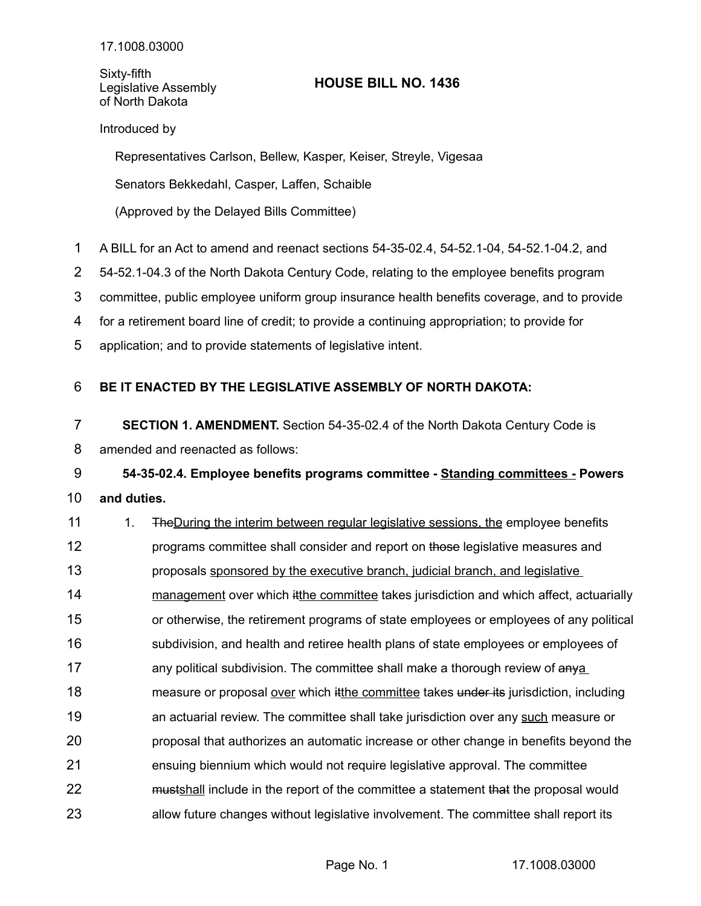Sixty-fifth Legislative Assembly of North Dakota

## **HOUSE BILL NO. 1436**

## Introduced by

Representatives Carlson, Bellew, Kasper, Keiser, Streyle, Vigesaa

Senators Bekkedahl, Casper, Laffen, Schaible

(Approved by the Delayed Bills Committee)

- A BILL for an Act to amend and reenact sections 54-35-02.4, 54-52.1-04, 54-52.1-04.2, and 1
- 54-52.1-04.3 of the North Dakota Century Code, relating to the employee benefits program 2

committee, public employee uniform group insurance health benefits coverage, and to provide 3

for a retirement board line of credit; to provide a continuing appropriation; to provide for 4

application; and to provide statements of legislative intent. 5

## **BE IT ENACTED BY THE LEGISLATIVE ASSEMBLY OF NORTH DAKOTA:** 6

**SECTION 1. AMENDMENT.** Section 54-35-02.4 of the North Dakota Century Code is amended and reenacted as follows: 7 8

## **54-35-02.4. Employee benefits programs committee - Standing committees - Powers and duties.** 9 10

1. TheDuring the interim between regular legislative sessions, the employee benefits programs committee shall consider and report on those legislative measures and proposals sponsored by the executive branch, judicial branch, and legislative management over which itthe committee takes jurisdiction and which affect, actuarially or otherwise, the retirement programs of state employees or employees of any political subdivision, and health and retiree health plans of state employees or employees of any political subdivision. The committee shall make a thorough review of anya measure or proposal over which it the committee takes under its jurisdiction, including an actuarial review. The committee shall take jurisdiction over any such measure or proposal that authorizes an automatic increase or other change in benefits beyond the ensuing biennium which would not require legislative approval. The committee mustshall include in the report of the committee a statement that the proposal would allow future changes without legislative involvement. The committee shall report its 11 12 13 14 15 16 17 18 19 20 21 22 23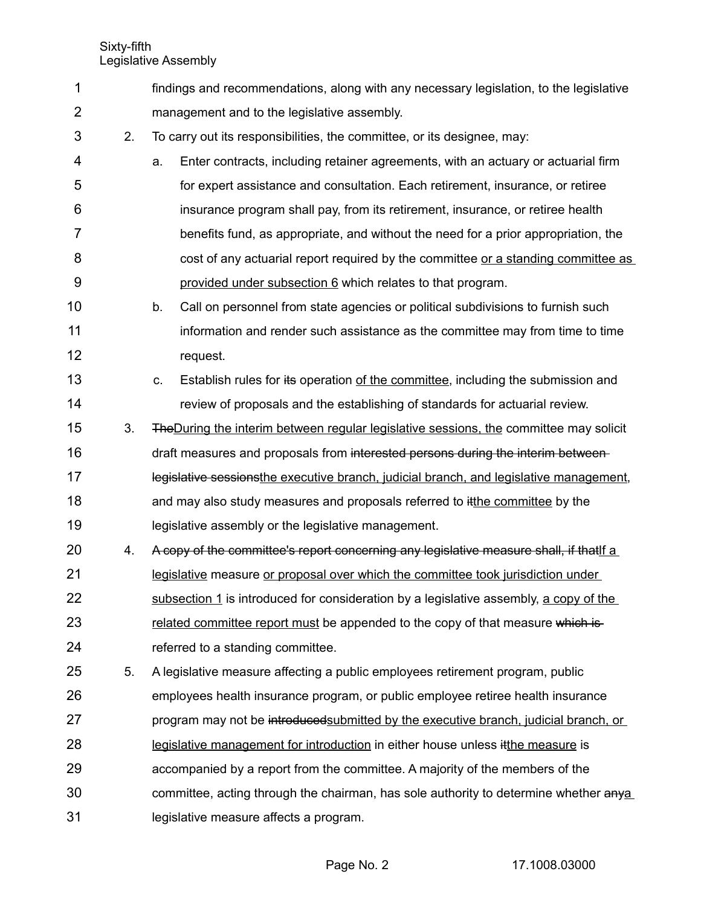Sixty-fifth

Legislative Assembly

| 1              |    | findings and recommendations, along with any necessary legislation, to the legislative        |
|----------------|----|-----------------------------------------------------------------------------------------------|
| $\overline{2}$ |    | management and to the legislative assembly.                                                   |
| 3              | 2. | To carry out its responsibilities, the committee, or its designee, may:                       |
| 4              |    | Enter contracts, including retainer agreements, with an actuary or actuarial firm<br>a.       |
| 5              |    | for expert assistance and consultation. Each retirement, insurance, or retiree                |
| 6              |    | insurance program shall pay, from its retirement, insurance, or retiree health                |
| 7              |    | benefits fund, as appropriate, and without the need for a prior appropriation, the            |
| 8              |    | cost of any actuarial report required by the committee or a standing committee as             |
| 9              |    | provided under subsection 6 which relates to that program.                                    |
| 10             |    | b.<br>Call on personnel from state agencies or political subdivisions to furnish such         |
| 11             |    | information and render such assistance as the committee may from time to time                 |
| 12             |    | request.                                                                                      |
| 13             |    | Establish rules for its operation of the committee, including the submission and<br>C.        |
| 14             |    | review of proposals and the establishing of standards for actuarial review.                   |
| 15             | 3. | <b>The During the interim between regular legislative sessions, the committee may solicit</b> |
| 16             |    | draft measures and proposals from interested persons during the interim between-              |
| 17             |    | legislative sessionsthe executive branch, judicial branch, and legislative management,        |
| 18             |    | and may also study measures and proposals referred to itthe committee by the                  |
| 19             |    | legislative assembly or the legislative management.                                           |
| 20             | 4. | A copy of the committee's report concerning any legislative measure shall, if that if a       |
| 21             |    | legislative measure or proposal over which the committee took jurisdiction under              |
| 22             |    | subsection 1 is introduced for consideration by a legislative assembly, a copy of the         |
| 23             |    | related committee report must be appended to the copy of that measure which is-               |
| 24             |    | referred to a standing committee.                                                             |
| 25             | 5. | A legislative measure affecting a public employees retirement program, public                 |
| 26             |    | employees health insurance program, or public employee retiree health insurance               |
| 27             |    | program may not be introduced submitted by the executive branch, judicial branch, or          |
| 28             |    | legislative management for introduction in either house unless it the measure is              |
| 29             |    | accompanied by a report from the committee. A majority of the members of the                  |
| 30             |    | committee, acting through the chairman, has sole authority to determine whether anya          |
| 31             |    | legislative measure affects a program.                                                        |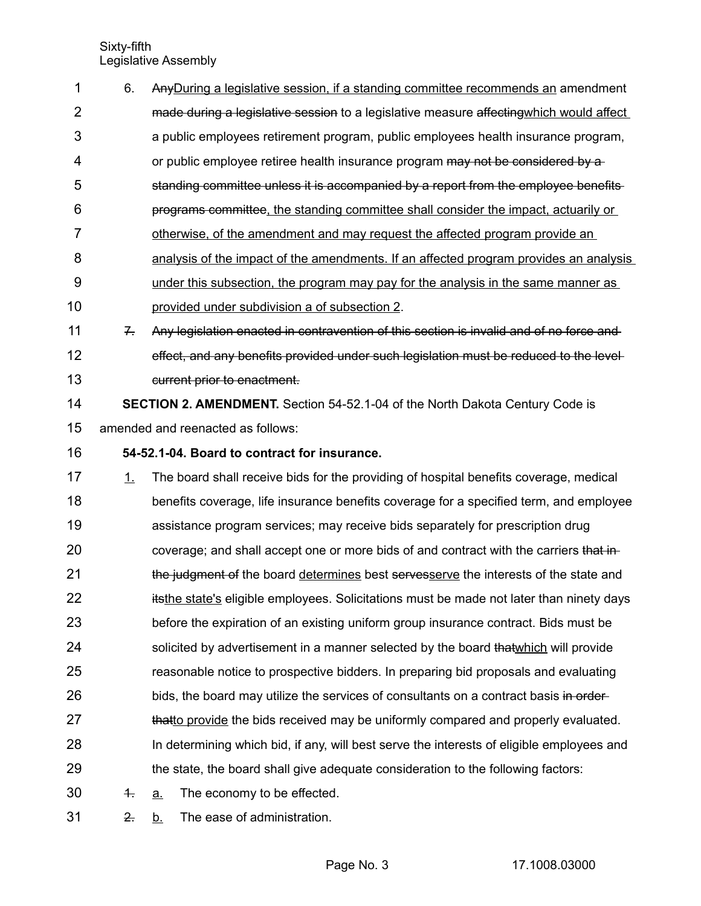Sixty-fifth Legislative Assembly

| 1  | 6.         | Any During a legislative session, if a standing committee recommends an amendment         |
|----|------------|-------------------------------------------------------------------------------------------|
| 2  |            | made during a legislative session to a legislative measure affecting which would affect   |
| 3  |            | a public employees retirement program, public employees health insurance program,         |
| 4  |            | or public employee retiree health insurance program may not be considered by a            |
| 5  |            | standing committee unless it is accompanied by a report from the employee benefits-       |
| 6  |            | programs committee, the standing committee shall consider the impact, actuarily or        |
| 7  |            | <u>otherwise, of the amendment and may request the affected program provide an</u>        |
| 8  |            | analysis of the impact of the amendments. If an affected program provides an analysis     |
| 9  |            | under this subsection, the program may pay for the analysis in the same manner as         |
| 10 |            | provided under subdivision a of subsection 2.                                             |
| 11 | $7 -$      | Any legislation enacted in contravention of this section is invalid and of no force and   |
| 12 |            | effect, and any benefits provided under such legislation must be reduced to the level-    |
| 13 |            | current prior to enactment.                                                               |
| 14 |            | SECTION 2. AMENDMENT. Section 54-52.1-04 of the North Dakota Century Code is              |
| 15 |            | amended and reenacted as follows:                                                         |
| 16 |            | 54-52.1-04. Board to contract for insurance.                                              |
| 17 | 1.         | The board shall receive bids for the providing of hospital benefits coverage, medical     |
| 18 |            | benefits coverage, life insurance benefits coverage for a specified term, and employee    |
| 19 |            | assistance program services; may receive bids separately for prescription drug            |
| 20 |            | coverage; and shall accept one or more bids of and contract with the carriers that in-    |
| 21 |            | the judgment of the board determines best servesserve the interests of the state and      |
| 22 |            | itsthe state's eligible employees. Solicitations must be made not later than ninety days  |
| 23 |            | before the expiration of an existing uniform group insurance contract. Bids must be       |
| 24 |            | solicited by advertisement in a manner selected by the board that which will provide      |
| 25 |            | reasonable notice to prospective bidders. In preparing bid proposals and evaluating       |
| 26 |            | bids, the board may utilize the services of consultants on a contract basis in order-     |
| 27 |            | thatto provide the bids received may be uniformly compared and properly evaluated.        |
| 28 |            | In determining which bid, if any, will best serve the interests of eligible employees and |
| 29 |            | the state, the board shall give adequate consideration to the following factors:          |
| 30 | $\ddagger$ | The economy to be effected.<br>a.                                                         |
| 31 | 2.         | The ease of administration.<br><u>b.</u>                                                  |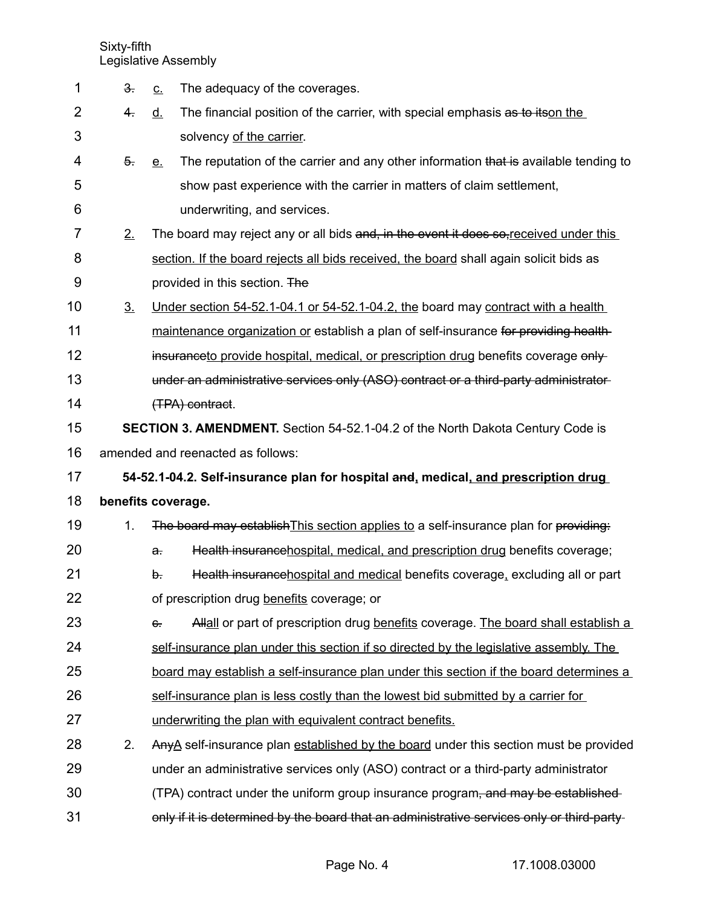Sixty-fifth

Legislative Assembly

| 1              | $3 -$              | <u>c.</u>    | The adequacy of the coverages.                                                             |
|----------------|--------------------|--------------|--------------------------------------------------------------------------------------------|
| $\overline{2}$ | 4 <sub>1</sub>     | <u>d.</u>    | The financial position of the carrier, with special emphasis as to itson the               |
| 3              |                    |              | solvency of the carrier.                                                                   |
| 4              | $\overline{5}$ .   | <u>e.</u>    | The reputation of the carrier and any other information that is available tending to       |
| 5              |                    |              | show past experience with the carrier in matters of claim settlement,                      |
| 6              |                    |              | underwriting, and services.                                                                |
| 7              | 2.                 |              | The board may reject any or all bids and, in the event it does so, received under this     |
| 8              |                    |              | section. If the board rejects all bids received, the board shall again solicit bids as     |
| 9              |                    |              | provided in this section. The                                                              |
| 10             | 3 <sub>1</sub>     |              | Under section 54-52.1-04.1 or 54-52.1-04.2, the board may contract with a health           |
| 11             |                    |              | maintenance organization or establish a plan of self-insurance for providing health-       |
| 12             |                    |              | insuranceto provide hospital, medical, or prescription drug benefits coverage only-        |
| 13             |                    |              | under an administrative services only (ASO) contract or a third-party administrator-       |
| 14             |                    |              | (TPA) contract.                                                                            |
| 15             |                    |              | <b>SECTION 3. AMENDMENT.</b> Section 54-52.1-04.2 of the North Dakota Century Code is      |
| 16             |                    |              | amended and reenacted as follows:                                                          |
| 17             |                    |              | 54-52.1-04.2. Self-insurance plan for hospital and, medical, and prescription drug         |
| 18             | benefits coverage. |              |                                                                                            |
| 19             | 1.                 |              | The board may establish This section applies to a self-insurance plan for providing:       |
| 20             |                    | $\mathbf{a}$ | Health insurancehospital, medical, and prescription drug benefits coverage;                |
| 21             |                    | b.           | Health insurancehospital and medical benefits coverage, excluding all or part              |
| 22             |                    |              | of prescription drug benefits coverage; or                                                 |
| 23             |                    | $e$ .        | Allall or part of prescription drug benefits coverage. The board shall establish a         |
| 24             |                    |              | self-insurance plan under this section if so directed by the legislative assembly. The     |
| 25             |                    |              | board may establish a self-insurance plan under this section if the board determines a     |
| 26             |                    |              | self-insurance plan is less costly than the lowest bid submitted by a carrier for          |
| 27             |                    |              | underwriting the plan with equivalent contract benefits.                                   |
| 28             | 2.                 |              | AnyA self-insurance plan established by the board under this section must be provided      |
| 29             |                    |              | under an administrative services only (ASO) contract or a third-party administrator        |
| 30             |                    |              | (TPA) contract under the uniform group insurance program, and may be established-          |
| 31             |                    |              | only if it is determined by the board that an administrative services only or third-party- |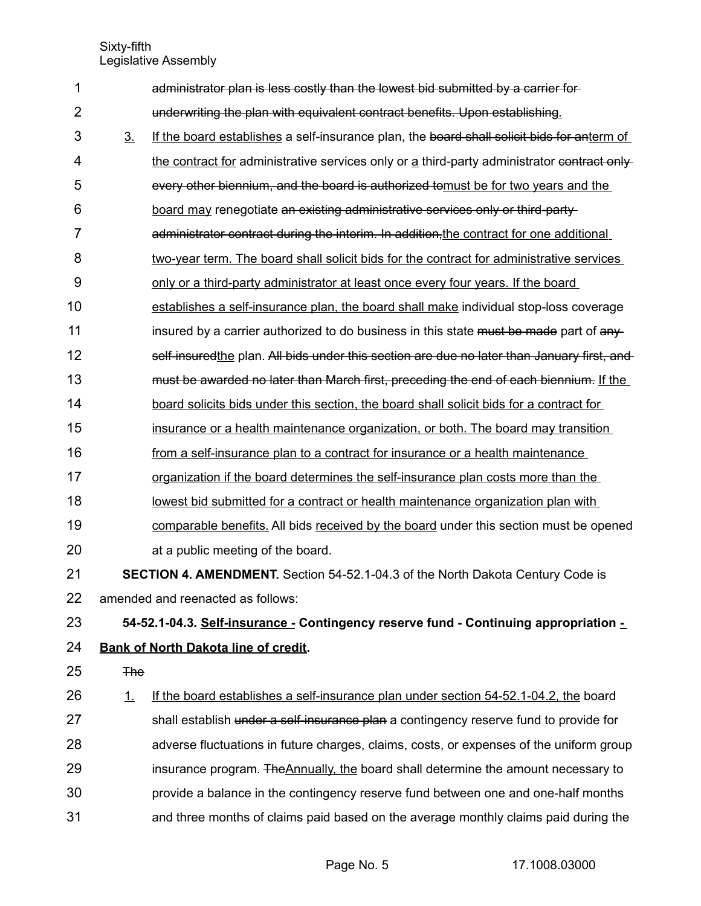Sixty-fifth Legislative Assembly

| 1              |                | administrator plan is less costly than the lowest bid submitted by a carrier for-           |
|----------------|----------------|---------------------------------------------------------------------------------------------|
| $\overline{2}$ |                | underwriting the plan with equivalent contract benefits. Upon establishing.                 |
| 3              | 3 <sub>1</sub> | If the board establishes a self-insurance plan, the board shall solicit bids for anterm of  |
| 4              |                | the contract for administrative services only or a third-party administrator contract only- |
| 5              |                | every other biennium, and the board is authorized tomust be for two years and the           |
| 6              |                | board may renegotiate an existing administrative services only or third-party-              |
| 7              |                | administrator contract during the interim. In addition, the contract for one additional     |
| 8              |                | two-year term. The board shall solicit bids for the contract for administrative services    |
| 9              |                | only or a third-party administrator at least once every four years. If the board            |
| 10             |                | establishes a self-insurance plan, the board shall make individual stop-loss coverage       |
| 11             |                | insured by a carrier authorized to do business in this state must be made part of any-      |
| 12             |                | self-insuredthe plan. All bids under this section are due no later than January first, and  |
| 13             |                | must be awarded no later than March first, preceding the end of each biennium. If the       |
| 14             |                | board solicits bids under this section, the board shall solicit bids for a contract for     |
| 15             |                | insurance or a health maintenance organization, or both. The board may transition           |
| 16             |                | from a self-insurance plan to a contract for insurance or a health maintenance              |
| 17             |                | organization if the board determines the self-insurance plan costs more than the            |
| 18             |                | lowest bid submitted for a contract or health maintenance organization plan with            |
| 19             |                | comparable benefits. All bids received by the board under this section must be opened       |
| 20             |                | at a public meeting of the board.                                                           |
| 21             |                | <b>SECTION 4. AMENDMENT.</b> Section 54-52.1-04.3 of the North Dakota Century Code is       |
| 22             |                | amended and reenacted as follows:                                                           |
| 23             |                | 54-52.1-04.3. Self-insurance - Contingency reserve fund - Continuing appropriation -        |
| 24             |                | <b>Bank of North Dakota line of credit.</b>                                                 |
| 25             | <b>The</b>     |                                                                                             |
| 26             | $\perp$        | If the board establishes a self-insurance plan under section 54-52.1-04.2, the board        |
| 27             |                | shall establish under a self-insurance plan a contingency reserve fund to provide for       |
| 28             |                | adverse fluctuations in future charges, claims, costs, or expenses of the uniform group     |
| 29             |                | insurance program. The Annually, the board shall determine the amount necessary to          |
| 30             |                | provide a balance in the contingency reserve fund between one and one-half months           |
| 31             |                | and three months of claims paid based on the average monthly claims paid during the         |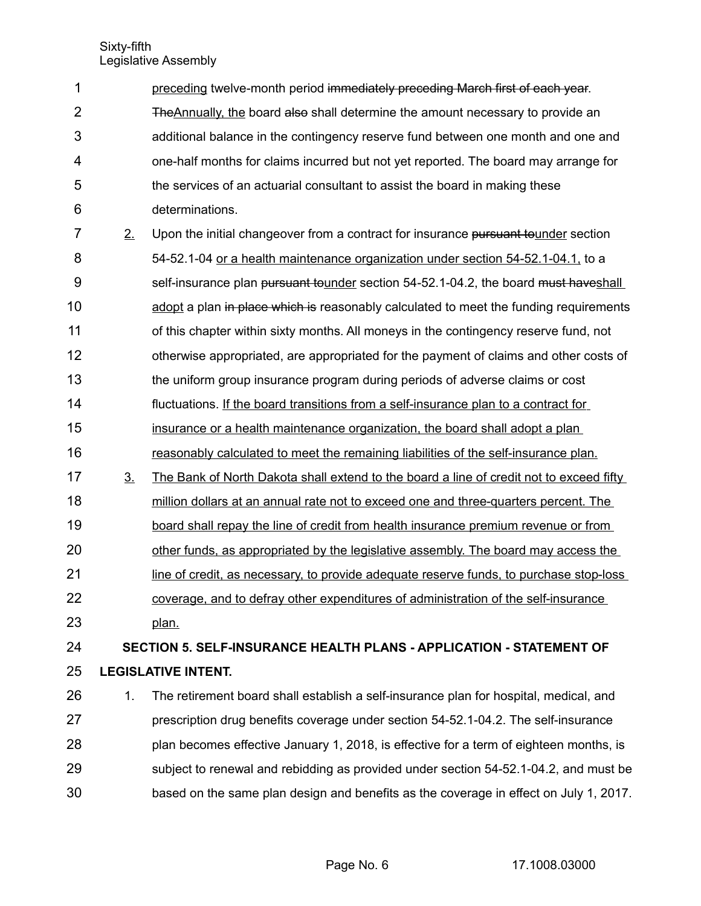| 1              |                | preceding twelve-month period immediately preceding March first of each year.           |
|----------------|----------------|-----------------------------------------------------------------------------------------|
| $\overline{2}$ |                | The Annually, the board also shall determine the amount necessary to provide an         |
| 3              |                | additional balance in the contingency reserve fund between one month and one and        |
| 4              |                | one-half months for claims incurred but not yet reported. The board may arrange for     |
| 5              |                | the services of an actuarial consultant to assist the board in making these             |
| 6              |                | determinations.                                                                         |
| 7              | 2.             | Upon the initial changeover from a contract for insurance pursuant tounder section      |
| 8              |                | 54-52.1-04 or a health maintenance organization under section 54-52.1-04.1, to a        |
| 9              |                | self-insurance plan pursuant tounder section 54-52.1-04.2, the board must haveshall     |
| 10             |                | adopt a plan in place which is reasonably calculated to meet the funding requirements   |
| 11             |                | of this chapter within sixty months. All moneys in the contingency reserve fund, not    |
| 12             |                | otherwise appropriated, are appropriated for the payment of claims and other costs of   |
| 13             |                | the uniform group insurance program during periods of adverse claims or cost            |
| 14             |                | fluctuations. If the board transitions from a self-insurance plan to a contract for     |
| 15             |                | insurance or a health maintenance organization, the board shall adopt a plan            |
| 16             |                | reasonably calculated to meet the remaining liabilities of the self-insurance plan.     |
| 17             | 3 <sub>1</sub> | The Bank of North Dakota shall extend to the board a line of credit not to exceed fifty |
| 18             |                | million dollars at an annual rate not to exceed one and three-quarters percent. The     |
| 19             |                | board shall repay the line of credit from health insurance premium revenue or from      |
| 20             |                | other funds, as appropriated by the legislative assembly. The board may access the      |
| 21             |                | line of credit, as necessary, to provide adequate reserve funds, to purchase stop-loss  |
| 22             |                | coverage, and to defray other expenditures of administration of the self-insurance      |
| 23             |                | plan.                                                                                   |
| 24             |                | SECTION 5. SELF-INSURANCE HEALTH PLANS - APPLICATION - STATEMENT OF                     |
| 25             |                | <b>LEGISLATIVE INTENT.</b>                                                              |
| 26             | 1.             | The retirement board shall establish a self-insurance plan for hospital, medical, and   |
| 27             |                | prescription drug benefits coverage under section 54-52.1-04.2. The self-insurance      |
| 28             |                | plan becomes effective January 1, 2018, is effective for a term of eighteen months, is  |
| 29             |                | subject to renewal and rebidding as provided under section 54-52.1-04.2, and must be    |
| 30             |                | based on the same plan design and benefits as the coverage in effect on July 1, 2017.   |